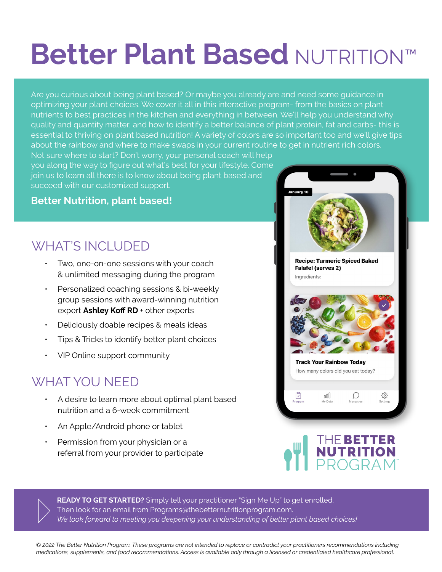## **Better Plant Based** NUTRITION™

Are you curious about being plant based? Or maybe you already are and need some guidance in optimizing your plant choices. We cover it all in this interactive program- from the basics on plant nutrients to best practices in the kitchen and everything in between. We'll help you understand why quality and quantity matter, and how to identify a better balance of plant protein, fat and carbs- this is essential to thriving on plant based nutrition! A variety of colors are so important too and we'll give tips about the rainbow and where to make swaps in your current routine to get in nutrient rich colors.

Not sure where to start? Don't worry, your personal coach will help you along the way to figure out what's best for your lifestyle. Come join us to learn all there is to know about being plant based and succeed with our customized support.

## **Better Nutrition, plant based!**

## WHAT'S INCLUDED

- ƽ Two, one-on-one sessions with your coach & unlimited messaging during the program
- ƽ Personalized coaching sessions & bi-weekly group sessions with award-winning nutrition expert **Ashley Koff RD** + other experts
- Deliciously doable recipes & meals ideas
- ƽ Tips & Tricks to identify better plant choices
- ƽ VIP Online support community

## WHAT YOU NEED

- ƽ A desire to learn more about optimal plant based nutrition and a 6-week commitment
- An Apple/Android phone or tablet
- Permission from your physician or a referral from your provider to participate



READY TO GET STARTED? Simply tell your practitioner "Sign Me Up" to get enrolled. Then look for an email from Programs@thebetternutritionprogram.com. *We look forward to meeting you deepening your understanding of better plant based choices!*

*© 2022 The Better Nutrition Program. These programs are not intended to replace or contradict your practitioners recommendations including medications, supplements, and food recommendations. Access is available only through a licensed or credentialed healthcare professional.*